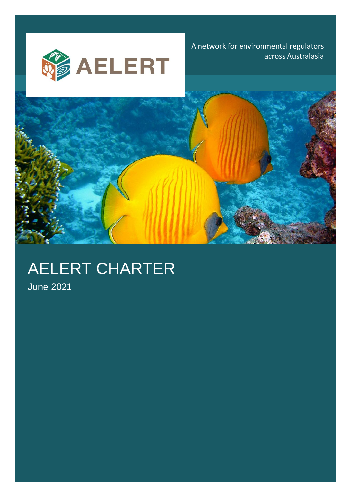**SAELERT** –

A network for environmental regulators across Australasia



# AELERT CHARTER

June 2021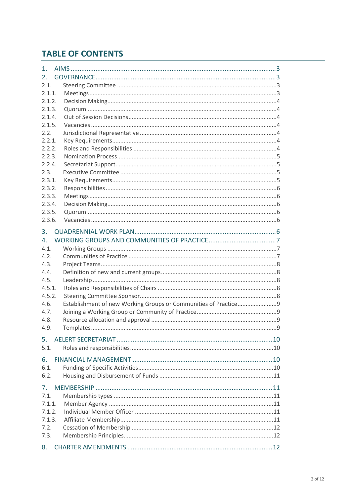# **TABLE OF CONTENTS**

| 1.             |  |
|----------------|--|
| $2_{-}$        |  |
| 2.1.           |  |
| 2.1.1.         |  |
| 2.1.2.         |  |
| 2.1.3.         |  |
| 2.1.4.         |  |
| 2.1.5.         |  |
| 2.2.           |  |
| 2.2.1.         |  |
| 2.2.2.         |  |
| 2.2.3.         |  |
| 2.2.4.         |  |
| 2.3.           |  |
| 2.3.1.         |  |
| 2.3.2.         |  |
| 2.3.3.         |  |
| 2.3.4.         |  |
| 2.3.5.         |  |
| 2.3.6.         |  |
| 3.             |  |
| 4.             |  |
| 4.1.           |  |
| 4.2.           |  |
| 4.3.           |  |
| 4.4.           |  |
| 4.5.           |  |
| 4.5.1.         |  |
| 4.5.2.         |  |
| 4.6.           |  |
| 4.7.           |  |
| 4.8.           |  |
| 4.9.           |  |
| 5.             |  |
| 5.1.           |  |
|                |  |
| 6.             |  |
| 6.1.           |  |
| 6.2.           |  |
| 7 <sub>1</sub> |  |
| 7.1.           |  |
| 7.1.1.         |  |
| 7.1.2.         |  |
| 7.1.3.         |  |
| 7.2.           |  |
| 7.3.           |  |
|                |  |
| 8.             |  |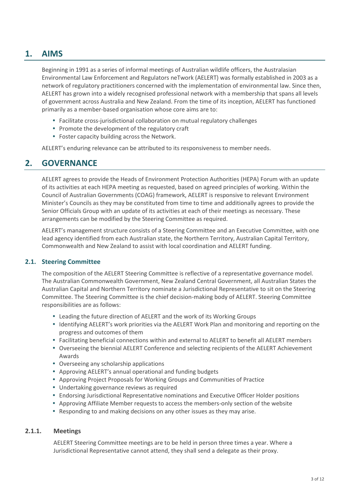# <span id="page-2-0"></span>**1. AIMS**

Beginning in 1991 as a series of informal meetings of Australian wildlife officers, the Australasian Environmental Law Enforcement and Regulators neTwork (AELERT) was formally established in 2003 as a network of regulatory practitioners concerned with the implementation of environmental law. Since then, AELERT has grown into a widely recognised professional network with a membership that spans all levels of government across Australia and New Zealand. From the time of its inception, AELERT has functioned primarily as a member-based organisation whose core aims are to:

- Facilitate cross-jurisdictional collaboration on mutual regulatory challenges
- Promote the development of the regulatory craft
- Foster capacity building across the Network.

<span id="page-2-1"></span>AELERT's enduring relevance can be attributed to its responsiveness to member needs.

# **2. GOVERNANCE**

AELERT agrees to provide the Heads of Environment Protection Authorities (HEPA) Forum with an update of its activities at each HEPA meeting as requested, based on agreed principles of working. Within the Council of Australian Governments (COAG) framework, AELERT is responsive to relevant Environment Minister's Councils as they may be constituted from time to time and additionally agrees to provide the Senior Officials Group with an update of its activities at each of their meetings as necessary. These arrangements can be modified by the Steering Committee as required.

AELERT's management structure consists of a Steering Committee and an Executive Committee, with one lead agency identified from each Australian state, the Northern Territory, Australian Capital Territory, Commonwealth and New Zealand to assist with local coordination and AELERT funding.

# <span id="page-2-2"></span>**2.1. Steering Committee**

The composition of the AELERT Steering Committee is reflective of a representative governance model. The Australian Commonwealth Government, New Zealand Central Government, all Australian States the Australian Capital and Northern Territory nominate a Jurisdictional Representative to sit on the Steering Committee. The Steering Committee is the chief decision-making body of AELERT. Steering Committee responsibilities are as follows:

- Leading the future direction of AELERT and the work of its Working Groups
- Identifying AELERT's work priorities via the AELERT Work Plan and monitoring and reporting on the progress and outcomes of them
- Facilitating beneficial connections within and external to AELERT to benefit all AELERT members
- Overseeing the biennial AELERT Conference and selecting recipients of the AELERT Achievement Awards
- Overseeing any scholarship applications
- Approving AELERT's annual operational and funding budgets
- Approving Project Proposals for Working Groups and Communities of Practice
- Undertaking governance reviews as required
- Endorsing Jurisdictional Representative nominations and Executive Officer Holder positions
- Approving Affiliate Member requests to access the members-only section of the website
- Responding to and making decisions on any other issues as they may arise.

# <span id="page-2-3"></span>**2.1.1. Meetings**

AELERT Steering Committee meetings are to be held in person three times a year. Where a Jurisdictional Representative cannot attend, they shall send a delegate as their proxy.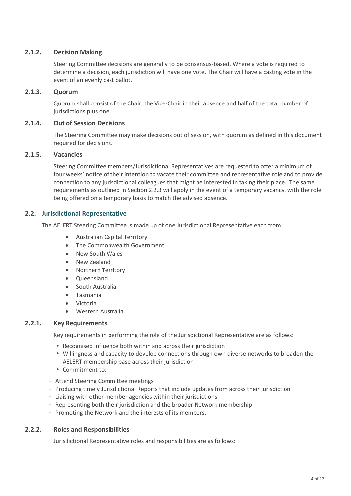# <span id="page-3-0"></span>**2.1.2. Decision Making**

Steering Committee decisions are generally to be consensus-based. Where a vote is required to determine a decision, each jurisdiction will have one vote. The Chair will have a casting vote in the event of an evenly cast ballot.

# <span id="page-3-1"></span>**2.1.3. Quorum**

Quorum shall consist of the Chair, the Vice-Chair in their absence and half of the total number of jurisdictions plus one.

# <span id="page-3-2"></span>**2.1.4. Out of Session Decisions**

The Steering Committee may make decisions out of session, with quorum as defined in this document required for decisions.

# <span id="page-3-3"></span>**2.1.5. Vacancies**

Steering Committee members/Jurisdictional Representatives are requested to offer a minimum of four weeks' notice of their intention to vacate their committee and representative role and to provide connection to any jurisdictional colleagues that might be interested in taking their place. The same requirements as outlined in Section 2.2.3 will apply in the event of a temporary vacancy, with the role being offered on a temporary basis to match the advised absence.

# <span id="page-3-4"></span>**2.2. Jurisdictional Representative**

The AELERT Steering Committee is made up of one Jurisdictional Representative each from:

- Australian Capital Territory
- The Commonwealth Government
- New South Wales
- New Zealand
- Northern Territory
- Queensland
- South Australia
- Tasmania
- Victoria
- Western Australia.

### <span id="page-3-5"></span>**2.2.1. Key Requirements**

Key requirements in performing the role of the Jurisdictional Representative are as follows:

- Recognised influence both within and across their jurisdiction
- Willingness and capacity to develop connections through own diverse networks to broaden the AELERT membership base across their jurisdiction
- Commitment to:
- − Attend Steering Committee meetings
- − Producing timely Jurisdictional Reports that include updates from across their jurisdiction
- − Liaising with other member agencies within their jurisdictions
- − Representing both their jurisdiction and the broader Network membership
- − Promoting the Network and the interests of its members.

# <span id="page-3-6"></span>**2.2.2. Roles and Responsibilities**

Jurisdictional Representative roles and responsibilities are as follows: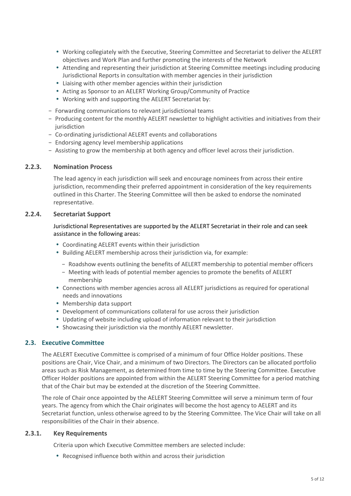- Working collegiately with the Executive, Steering Committee and Secretariat to deliver the AELERT objectives and Work Plan and further promoting the interests of the Network
- Attending and representing their jurisdiction at Steering Committee meetings including producing Jurisdictional Reports in consultation with member agencies in their jurisdiction
- Liaising with other member agencies within their jurisdiction
- Acting as Sponsor to an AELERT Working Group/Community of Practice
- Working with and supporting the AELERT Secretariat by:
- − Forwarding communications to relevant jurisdictional teams
- − Producing content for the monthly AELERT newsletter to highlight activities and initiatives from their iurisdiction
- − Co-ordinating jurisdictional AELERT events and collaborations
- − Endorsing agency level membership applications
- − Assisting to grow the membership at both agency and officer level across their jurisdiction.

# <span id="page-4-0"></span>**2.2.3. Nomination Process**

The lead agency in each jurisdiction will seek and encourage nominees from across their entire jurisdiction, recommending their preferred appointment in consideration of the key requirements outlined in this Charter. The Steering Committee will then be asked to endorse the nominated representative.

# <span id="page-4-1"></span>**2.2.4. Secretariat Support**

# Jurisdictional Representatives are supported by the AELERT Secretariat in their role and can seek assistance in the following areas:

- Coordinating AELERT events within their jurisdiction
- Building AELERT membership across their jurisdiction via, for example:
	- − Roadshow events outlining the benefits of AELERT membership to potential member officers
	- − Meeting with leads of potential member agencies to promote the benefits of AELERT membership
- Connections with member agencies across all AELERT jurisdictions as required for operational needs and innovations
- Membership data support
- Development of communications collateral for use across their jurisdiction
- Updating of website including upload of information relevant to their jurisdiction
- Showcasing their jurisdiction via the monthly AELERT newsletter.

# <span id="page-4-2"></span>**2.3. Executive Committee**

The AELERT Executive Committee is comprised of a minimum of four Office Holder positions. These positions are Chair, Vice Chair, and a minimum of two Directors. The Directors can be allocated portfolio areas such as Risk Management, as determined from time to time by the Steering Committee. Executive Officer Holder positions are appointed from within the AELERT Steering Committee for a period matching that of the Chair but may be extended at the discretion of the Steering Committee.

The role of Chair once appointed by the AELERT Steering Committee will serve a minimum term of four years. The agency from which the Chair originates will become the host agency to AELERT and its Secretariat function, unless otherwise agreed to by the Steering Committee. The Vice Chair will take on all responsibilities of the Chair in their absence.

### <span id="page-4-3"></span>**2.3.1. Key Requirements**

Criteria upon which Executive Committee members are selected include:

Recognised influence both within and across their jurisdiction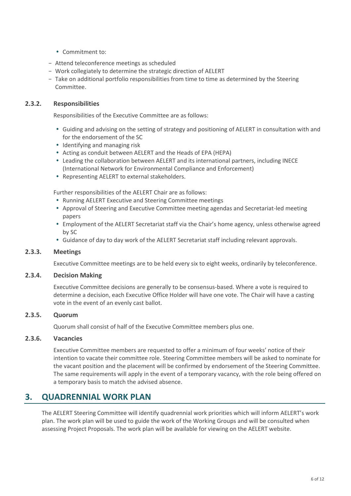- Commitment to:
- − Attend teleconference meetings as scheduled
- − Work collegiately to determine the strategic direction of AELERT
- − Take on additional portfolio responsibilities from time to time as determined by the Steering Committee.

# <span id="page-5-0"></span>**2.3.2. Responsibilities**

Responsibilities of the Executive Committee are as follows:

- Guiding and advising on the setting of strategy and positioning of AELERT in consultation with and for the endorsement of the SC
- Identifying and managing risk
- Acting as conduit between AELERT and the Heads of EPA (HEPA)
- Leading the collaboration between AELERT and its international partners, including INECE (International Network for Environmental Compliance and Enforcement)
- Representing AELERT to external stakeholders.

Further responsibilities of the AELERT Chair are as follows:

- Running AELERT Executive and Steering Committee meetings
- Approval of Steering and Executive Committee meeting agendas and Secretariat-led meeting papers
- Employment of the AELERT Secretariat staff via the Chair's home agency, unless otherwise agreed by SC
- Guidance of day to day work of the AELERT Secretariat staff including relevant approvals.

### <span id="page-5-1"></span>**2.3.3. Meetings**

Executive Committee meetings are to be held every six to eight weeks, ordinarily by teleconference.

### <span id="page-5-2"></span>**2.3.4. Decision Making**

Executive Committee decisions are generally to be consensus-based. Where a vote is required to determine a decision, each Executive Office Holder will have one vote. The Chair will have a casting vote in the event of an evenly cast ballot.

# <span id="page-5-3"></span>**2.3.5. Quorum**

Quorum shall consist of half of the Executive Committee members plus one.

## <span id="page-5-4"></span>**2.3.6. Vacancies**

Executive Committee members are requested to offer a minimum of four weeks' notice of their intention to vacate their committee role. Steering Committee members will be asked to nominate for the vacant position and the placement will be confirmed by endorsement of the Steering Committee. The same requirements will apply in the event of a temporary vacancy, with the role being offered on a temporary basis to match the advised absence.

# <span id="page-5-5"></span>**3. QUADRENNIAL WORK PLAN**

The AELERT Steering Committee will identify quadrennial work priorities which will inform AELERT's work plan. The work plan will be used to guide the work of the Working Groups and will be consulted when assessing Project Proposals. The work plan will be available for viewing on the AELERT website.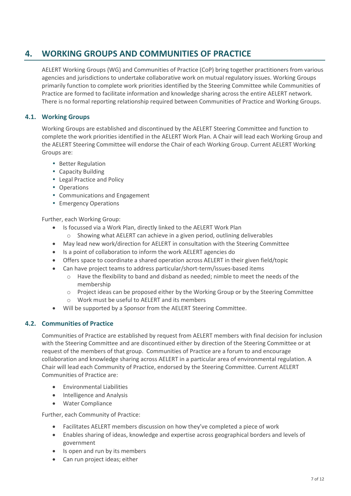# <span id="page-6-0"></span>**4. WORKING GROUPS AND COMMUNITIES OF PRACTICE**

AELERT Working Groups (WG) and Communities of Practice (CoP) bring together practitioners from various agencies and jurisdictions to undertake collaborative work on mutual regulatory issues. Working Groups primarily function to complete work priorities identified by the Steering Committee while Communities of Practice are formed to facilitate information and knowledge sharing across the entire AELERT network. There is no formal reporting relationship required between Communities of Practice and Working Groups.

# <span id="page-6-1"></span>**4.1. Working Groups**

Working Groups are established and discontinued by the AELERT Steering Committee and function to complete the work priorities identified in the AELERT Work Plan. A Chair will lead each Working Group and the AELERT Steering Committee will endorse the Chair of each Working Group. Current AELERT Working Groups are:

- Better Regulation
- Capacity Building
- Legal Practice and Policy
- Operations
- Communications and Engagement
- Emergency Operations

Further, each Working Group:

- Is focussed via a Work Plan, directly linked to the AELERT Work Plan
	- o Showing what AELERT can achieve in a given period, outlining deliverables
- May lead new work/direction for AELERT in consultation with the Steering Committee
- Is a point of collaboration to inform the work AELERT agencies do
- Offers space to coordinate a shared operation across AELERT in their given field/topic
- Can have project teams to address particular/short-term/issues-based items
	- $\circ$  Have the flexibility to band and disband as needed; nimble to meet the needs of the membership
	- $\circ$  Project ideas can be proposed either by the Working Group or by the Steering Committee
	- o Work must be useful to AELERT and its members
- Will be supported by a Sponsor from the AELERT Steering Committee.

# <span id="page-6-2"></span>**4.2. Communities of Practice**

Communities of Practice are established by request from AELERT members with final decision for inclusion with the Steering Committee and are discontinued either by direction of the Steering Committee or at request of the members of that group. Communities of Practice are a forum to and encourage collaboration and knowledge sharing across AELERT in a particular area of environmental regulation. A Chair will lead each Community of Practice, endorsed by the Steering Committee. Current AELERT Communities of Practice are:

- Environmental Liabilities
- Intelligence and Analysis
- Water Compliance

Further, each Community of Practice:

- Facilitates AELERT members discussion on how they've completed a piece of work
- Enables sharing of ideas, knowledge and expertise across geographical borders and levels of government
- Is open and run by its members
- Can run project ideas; either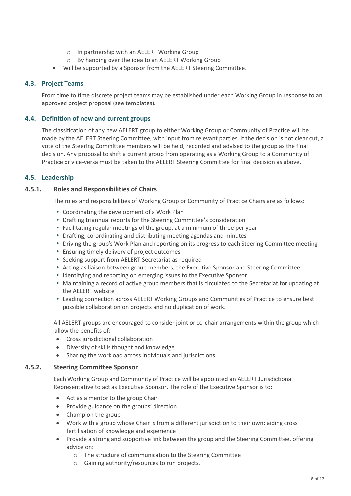- o In partnership with an AELERT Working Group
- o By handing over the idea to an AELERT Working Group
- Will be supported by a Sponsor from the AELERT Steering Committee.

# **4.3. Project Teams**

<span id="page-7-0"></span>From time to time discrete project teams may be established under each Working Group in response to an approved project proposal (see templates).

# <span id="page-7-1"></span>**4.4. Definition of new and current groups**

The classification of any new AELERT group to either Working Group or Community of Practice will be made by the AELERT Steering Committee, with input from relevant parties. If the decision is not clear cut, a vote of the Steering Committee members will be held, recorded and advised to the group as the final decision. Any proposal to shift a current group from operating as a Working Group to a Community of Practice or vice-versa must be taken to the AELERT Steering Committee for final decision as above.

# <span id="page-7-2"></span>**4.5. Leadership**

# <span id="page-7-3"></span>**4.5.1. Roles and Responsibilities of Chairs**

The roles and responsibilities of Working Group or Community of Practice Chairs are as follows:

- Coordinating the development of a Work Plan
- Drafting triannual reports for the Steering Committee's consideration
- Facilitating regular meetings of the group, at a minimum of three per year
- Drafting, co-ordinating and distributing meeting agendas and minutes
- Driving the group's Work Plan and reporting on its progress to each Steering Committee meeting
- Ensuring timely delivery of project outcomes
- Seeking support from AELERT Secretariat as required
- Acting as liaison between group members, the Executive Sponsor and Steering Committee
- Identifying and reporting on emerging issues to the Executive Sponsor
- Maintaining a record of active group members that is circulated to the Secretariat for updating at the AELERT website
- Leading connection across AELERT Working Groups and Communities of Practice to ensure best possible collaboration on projects and no duplication of work.

All AELERT groups are encouraged to consider joint or co-chair arrangements within the group which allow the benefits of:

- Cross jurisdictional collaboration
- Diversity of skills thought and knowledge
- Sharing the workload across individuals and jurisdictions.

# <span id="page-7-4"></span>**4.5.2. Steering Committee Sponsor**

Each Working Group and Community of Practice will be appointed an AELERT Jurisdictional Representative to act as Executive Sponsor. The role of the Executive Sponsor is to:

- Act as a mentor to the group Chair
- Provide guidance on the groups' direction
- Champion the group
- Work with a group whose Chair is from a different jurisdiction to their own; aiding cross fertilisation of knowledge and experience
- Provide a strong and supportive link between the group and the Steering Committee, offering advice on:
	- o The structure of communication to the Steering Committee
	- o Gaining authority/resources to run projects.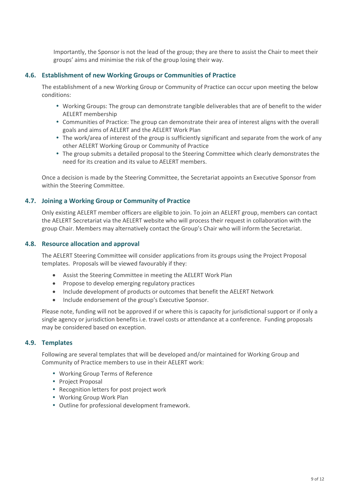Importantly, the Sponsor is not the lead of the group; they are there to assist the Chair to meet their groups' aims and minimise the risk of the group losing their way.

# <span id="page-8-0"></span>**4.6. Establishment of new Working Groups or Communities of Practice**

The establishment of a new Working Group or Community of Practice can occur upon meeting the below conditions:

- Working Groups: The group can demonstrate tangible deliverables that are of benefit to the wider AELERT membership
- Communities of Practice: The group can demonstrate their area of interest aligns with the overall goals and aims of AELERT and the AELERT Work Plan
- The work/area of interest of the group is sufficiently significant and separate from the work of any other AELERT Working Group or Community of Practice
- The group submits a detailed proposal to the Steering Committee which clearly demonstrates the need for its creation and its value to AELERT members.

Once a decision is made by the Steering Committee, the Secretariat appoints an Executive Sponsor from within the Steering Committee.

# <span id="page-8-1"></span>**4.7. Joining a Working Group or Community of Practice**

Only existing AELERT member officers are eligible to join. To join an AELERT group, members can contact the AELERT Secretariat via the AELERT website who will process their request in collaboration with the group Chair. Members may alternatively contact the Group's Chair who will inform the Secretariat.

# **4.8. Resource allocation and approval**

<span id="page-8-2"></span>The AELERT Steering Committee will consider applications from its groups using the Project Proposal templates. Proposals will be viewed favourably if they:

- Assist the Steering Committee in meeting the AELERT Work Plan
- Propose to develop emerging regulatory practices
- Include development of products or outcomes that benefit the AELERT Network
- Include endorsement of the group's Executive Sponsor.

Please note, funding will not be approved if or where this is capacity for jurisdictional support or if only a single agency or jurisdiction benefits i.e. travel costs or attendance at a conference. Funding proposals may be considered based on exception.

# **4.9. Templates**

<span id="page-8-3"></span>Following are several templates that will be developed and/or maintained for Working Group and Community of Practice members to use in their AELERT work:

- Working Group Terms of Reference
- Project Proposal
- Recognition letters for post project work
- Working Group Work Plan
- Outline for professional development framework.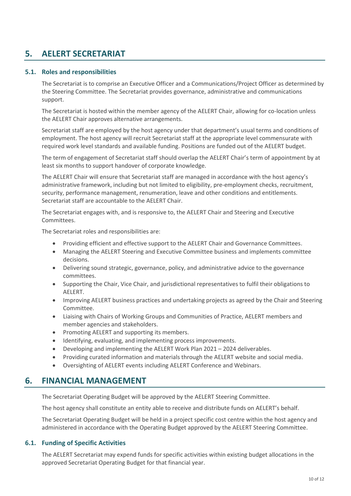# <span id="page-9-0"></span>**5. AELERT SECRETARIAT**

# **5.1. Roles and responsibilities**

<span id="page-9-1"></span>The Secretariat is to comprise an Executive Officer and a Communications/Project Officer as determined by the Steering Committee. The Secretariat provides governance, administrative and communications support.

The Secretariat is hosted within the member agency of the AELERT Chair, allowing for co-location unless the AELERT Chair approves alternative arrangements.

Secretariat staff are employed by the host agency under that department's usual terms and conditions of employment. The host agency will recruit Secretariat staff at the appropriate level commensurate with required work level standards and available funding. Positions are funded out of the AELERT budget.

The term of engagement of Secretariat staff should overlap the AELERT Chair's term of appointment by at least six months to support handover of corporate knowledge.

The AELERT Chair will ensure that Secretariat staff are managed in accordance with the host agency's administrative framework, including but not limited to eligibility, pre-employment checks, recruitment, security, performance management, renumeration, leave and other conditions and entitlements. Secretariat staff are accountable to the AELERT Chair.

The Secretariat engages with, and is responsive to, the AELERT Chair and Steering and Executive Committees.

The Secretariat roles and responsibilities are:

- Providing efficient and effective support to the AELERT Chair and Governance Committees.
- Managing the AELERT Steering and Executive Committee business and implements committee decisions.
- Delivering sound strategic, governance, policy, and administrative advice to the governance committees.
- Supporting the Chair, Vice Chair, and jurisdictional representatives to fulfil their obligations to AELERT.
- Improving AELERT business practices and undertaking projects as agreed by the Chair and Steering Committee.
- Liaising with Chairs of Working Groups and Communities of Practice, AELERT members and member agencies and stakeholders.
- Promoting AELERT and supporting its members.
- Identifying, evaluating, and implementing process improvements.
- Developing and implementing the AELERT Work Plan 2021 2024 deliverables.
- Providing curated information and materials through the AELERT website and social media.
- Oversighting of AELERT events including AELERT Conference and Webinars.

# <span id="page-9-2"></span>**6. FINANCIAL MANAGEMENT**

The Secretariat Operating Budget will be approved by the AELERT Steering Committee.

The host agency shall constitute an entity able to receive and distribute funds on AELERT's behalf.

The Secretariat Operating Budget will be held in a project specific cost centre within the host agency and administered in accordance with the Operating Budget approved by the AELERT Steering Committee.

### <span id="page-9-3"></span>**6.1. Funding of Specific Activities**

The AELERT Secretariat may expend funds for specific activities within existing budget allocations in the approved Secretariat Operating Budget for that financial year.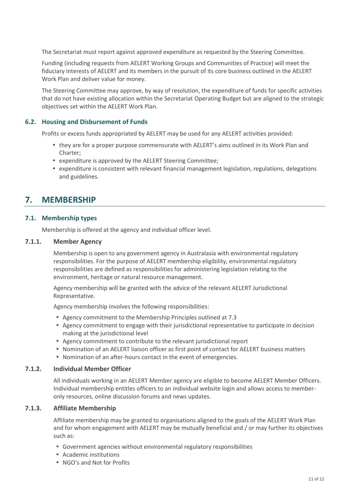The Secretariat must report against approved expenditure as requested by the Steering Committee.

Funding (including requests from AELERT Working Groups and Communities of Practice) will meet the fiduciary interests of AELERT and its members in the pursuit of its core business outlined in the AELERT Work Plan and deliver value for money.

The Steering Committee may approve, by way of resolution, the expenditure of funds for specific activities that do not have existing allocation within the Secretariat Operating Budget but are aligned to the strategic objectives set within the AELERT Work Plan.

# <span id="page-10-0"></span>**6.2. Housing and Disbursement of Funds**

Profits or excess funds appropriated by AELERT may be used for any AELERT activities provided:

- they are for a proper purpose commensurate with AELERT's aims outlined in its Work Plan and Charter;
- expenditure is approved by the AELERT Steering Committee;
- expenditure is consistent with relevant financial management legislation, regulations, delegations and guidelines.

# <span id="page-10-1"></span>**7. MEMBERSHIP**

# **7.1. Membership types**

<span id="page-10-3"></span><span id="page-10-2"></span>Membership is offered at the agency and individual officer level.

# **7.1.1. Member Agency**

Membership is open to any government agency in Australasia with environmental regulatory responsibilities. For the purpose of AELERT membership eligibility, environmental regulatory responsibilities are defined as responsibilities for administering legislation relating to the environment, heritage or natural resource management.

Agency membership will be granted with the advice of the relevant AELERT Jurisdictional Representative.

Agency membership involves the following responsibilities:

- Agency commitment to the Membership Principles outlined at 7.3
- Agency commitment to engage with their jurisdictional representative to participate in decision making at the jurisdictional level
- Agency commitment to contribute to the relevant jurisdictional report
- Nomination of an AELERT liaison officer as first point of contact for AELERT business matters
- Nomination of an after-hours contact in the event of emergencies.

### <span id="page-10-4"></span>**7.1.2. Individual Member Officer**

All individuals working in an AELERT Member agency are eligible to become AELERT Member Officers. Individual membership entitles officers to an individual website login and allows access to memberonly resources, online discussion forums and news updates.

## <span id="page-10-5"></span>**7.1.3. Affiliate Membership**

Affiliate membership may be granted to organisations aligned to the goals of the AELERT Work Plan and for whom engagement with AELERT may be mutually beneficial and / or may further its objectives such as:

- Government agencies without environmental regulatory responsibilities
- Academic institutions
- NGO's and Not for Profits